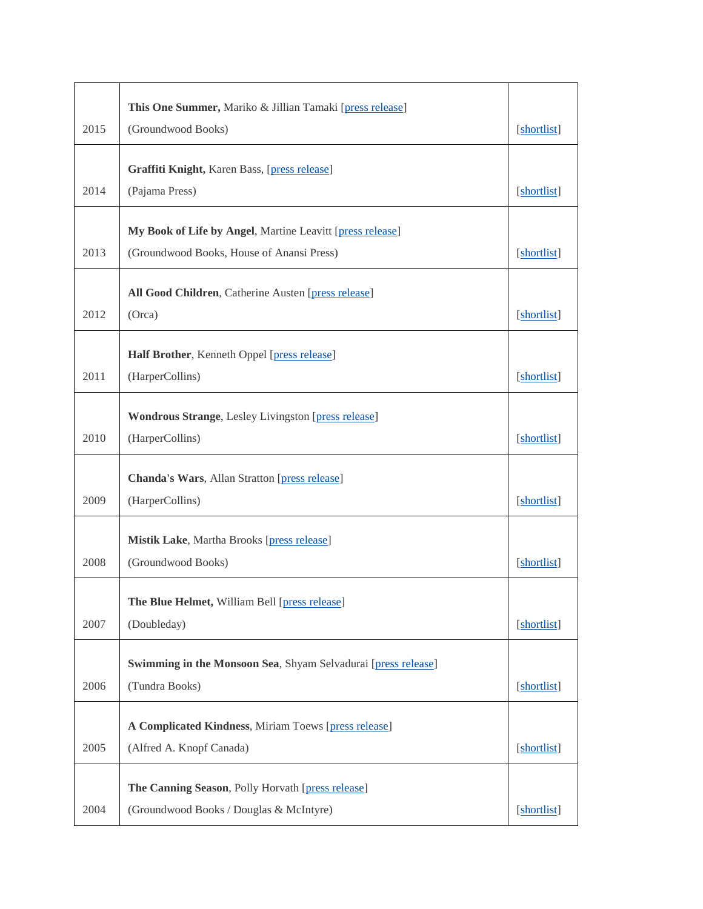|      | This One Summer, Mariko & Jillian Tamaki [press release]                                               |             |
|------|--------------------------------------------------------------------------------------------------------|-------------|
| 2015 | (Groundwood Books)                                                                                     | [shortlist] |
|      | Graffiti Knight, Karen Bass, [press release]                                                           |             |
| 2014 | (Pajama Press)                                                                                         | [shortlist] |
|      |                                                                                                        |             |
| 2013 | My Book of Life by Angel, Martine Leavitt [press release]<br>(Groundwood Books, House of Anansi Press) | [shortlist] |
|      |                                                                                                        |             |
|      | All Good Children, Catherine Austen [press release]                                                    |             |
| 2012 | (Orca)                                                                                                 | [shortlist] |
|      | Half Brother, Kenneth Oppel [press release]                                                            |             |
| 2011 | (HarperCollins)                                                                                        | [shortlist] |
|      | <b>Wondrous Strange, Lesley Livingston [press release]</b>                                             |             |
| 2010 | (HarperCollins)                                                                                        | [shortlist] |
|      |                                                                                                        |             |
|      | <b>Chanda's Wars, Allan Stratton [press release]</b>                                                   |             |
| 2009 | (HarperCollins)                                                                                        | [shortlist] |
|      | <b>Mistik Lake, Martha Brooks [press release]</b>                                                      |             |
| 2008 | (Groundwood Books)                                                                                     | [shortlist] |
|      | <b>The Blue Helmet, William Bell [press release]</b>                                                   |             |
| 2007 | (Doubleday)                                                                                            | [shortlist] |
|      |                                                                                                        |             |
| 2006 | Swimming in the Monsoon Sea, Shyam Selvadurai [press release]<br>(Tundra Books)                        | [shortlist] |
|      |                                                                                                        |             |
|      | A Complicated Kindness, Miriam Toews [press release]                                                   |             |
| 2005 | (Alfred A. Knopf Canada)                                                                               | [shortlist] |
|      | The Canning Season, Polly Horvath [press release]                                                      |             |
| 2004 | (Groundwood Books / Douglas & McIntyre)                                                                | [shortlist] |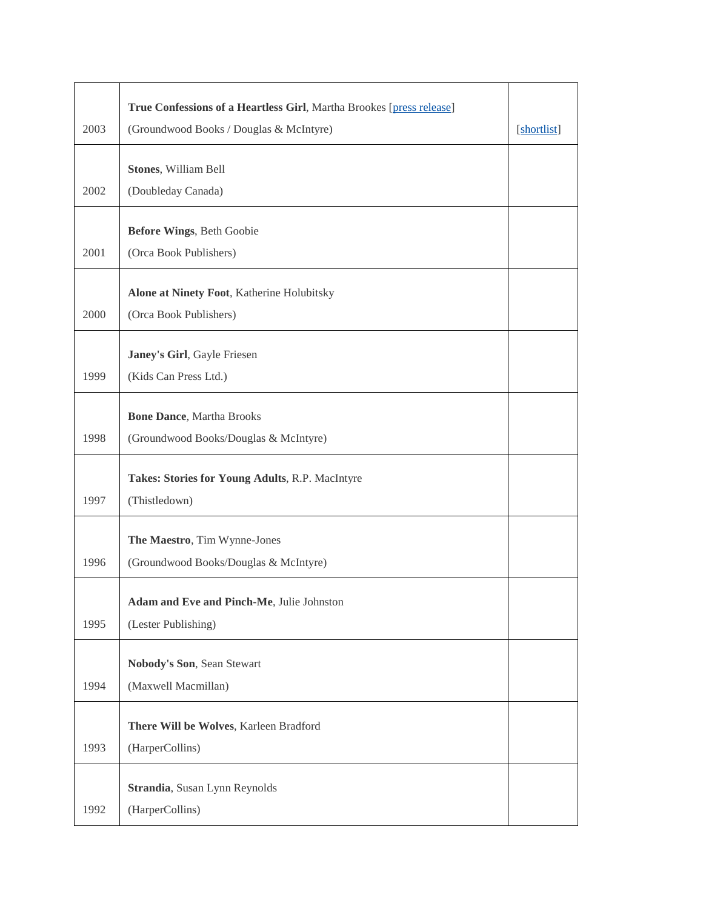|      | True Confessions of a Heartless Girl, Martha Brookes [press release] |             |
|------|----------------------------------------------------------------------|-------------|
| 2003 | (Groundwood Books / Douglas & McIntyre)                              | [shortlist] |
|      | Stones, William Bell                                                 |             |
| 2002 | (Doubleday Canada)                                                   |             |
|      |                                                                      |             |
|      | Before Wings, Beth Goobie                                            |             |
| 2001 | (Orca Book Publishers)                                               |             |
|      | Alone at Ninety Foot, Katherine Holubitsky                           |             |
| 2000 | (Orca Book Publishers)                                               |             |
|      |                                                                      |             |
| 1999 | Janey's Girl, Gayle Friesen<br>(Kids Can Press Ltd.)                 |             |
|      |                                                                      |             |
|      | <b>Bone Dance</b> , Martha Brooks                                    |             |
| 1998 | (Groundwood Books/Douglas & McIntyre)                                |             |
|      | Takes: Stories for Young Adults, R.P. MacIntyre                      |             |
| 1997 | (Thistledown)                                                        |             |
|      |                                                                      |             |
|      | The Maestro, Tim Wynne-Jones                                         |             |
| 1996 | (Groundwood Books/Douglas & McIntyre)                                |             |
|      | Adam and Eve and Pinch-Me, Julie Johnston                            |             |
| 1995 | (Lester Publishing)                                                  |             |
|      |                                                                      |             |
|      | Nobody's Son, Sean Stewart                                           |             |
| 1994 | (Maxwell Macmillan)                                                  |             |
|      | There Will be Wolves, Karleen Bradford                               |             |
| 1993 | (HarperCollins)                                                      |             |
|      | Strandia, Susan Lynn Reynolds                                        |             |
| 1992 | (HarperCollins)                                                      |             |
|      |                                                                      |             |